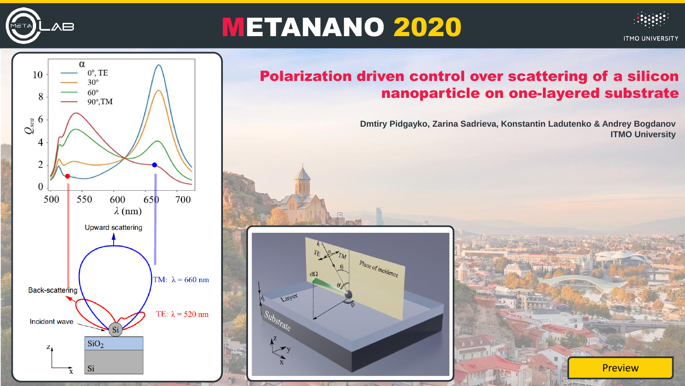

## METANANO 2020



**Preview** 



## Polarization driven control over scattering of a silicon nanoparticle on one-layered substrate

**Dmtiry Pidgayko, Zarina Sadrieva, Konstantin Ladutenko & Andrey Bogdanov ITMO University**

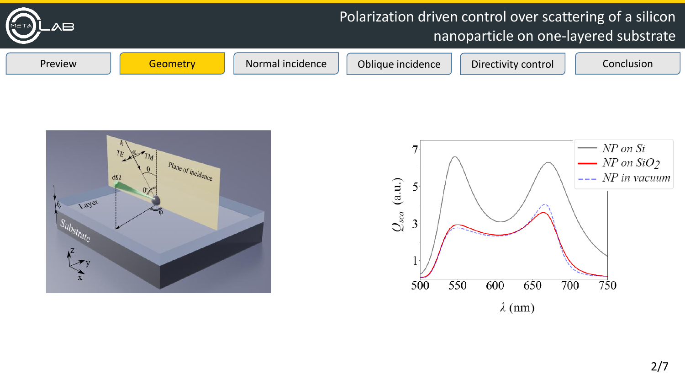



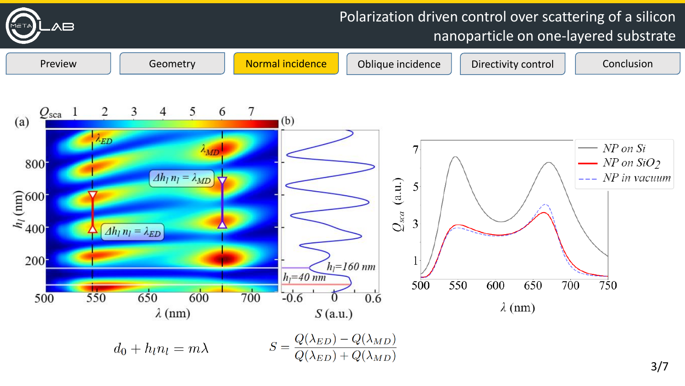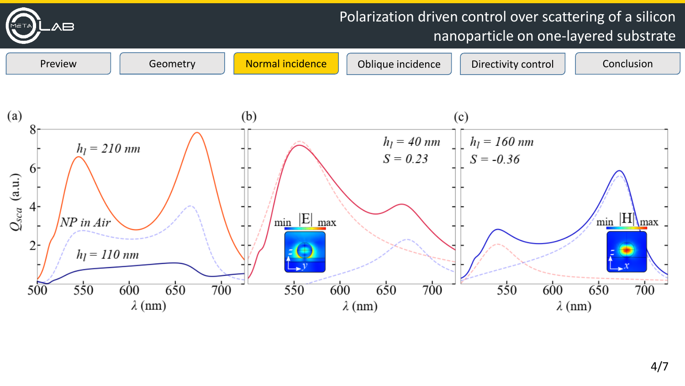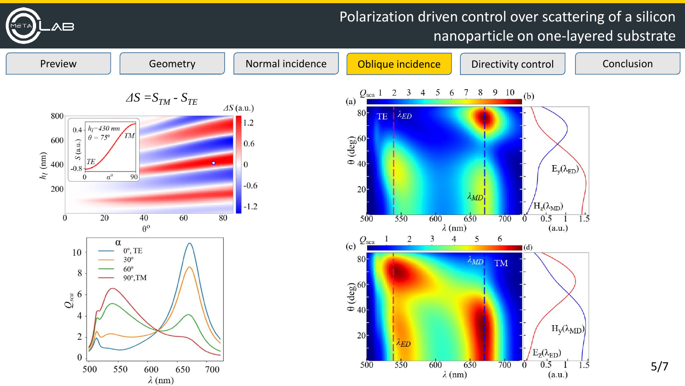

## Polarization driven control over scattering of a silicon nanoparticle on one-layered substrate

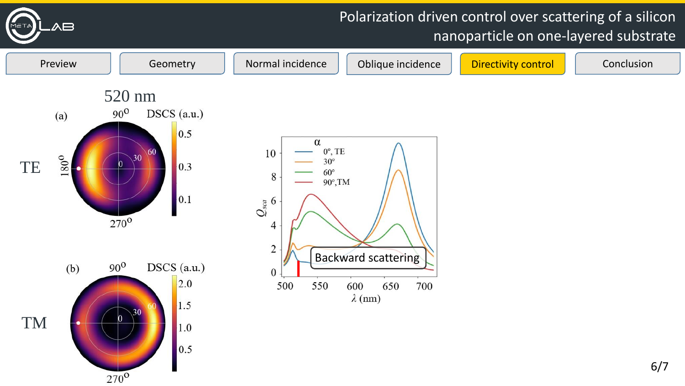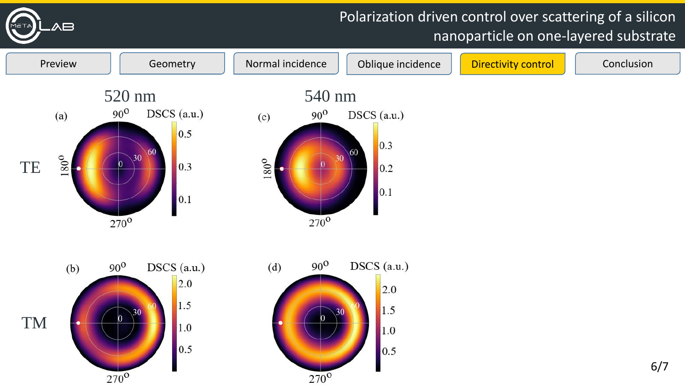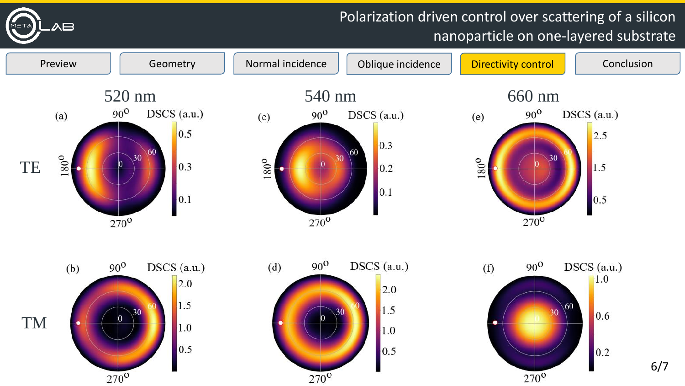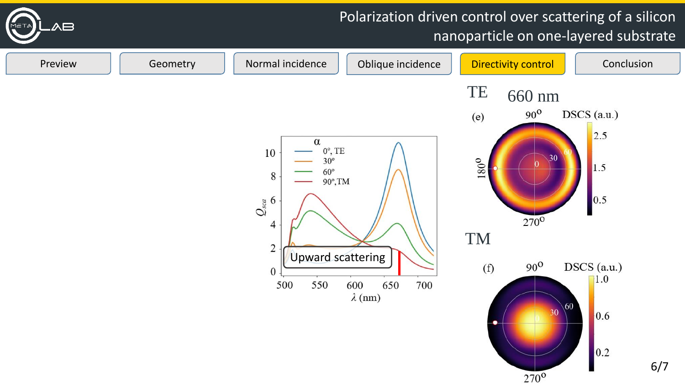

 $270^{\circ}$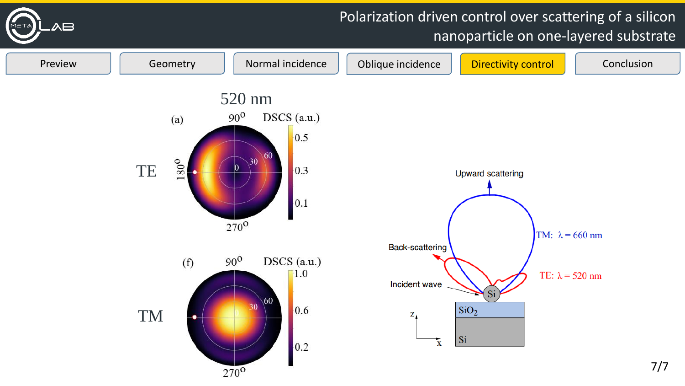